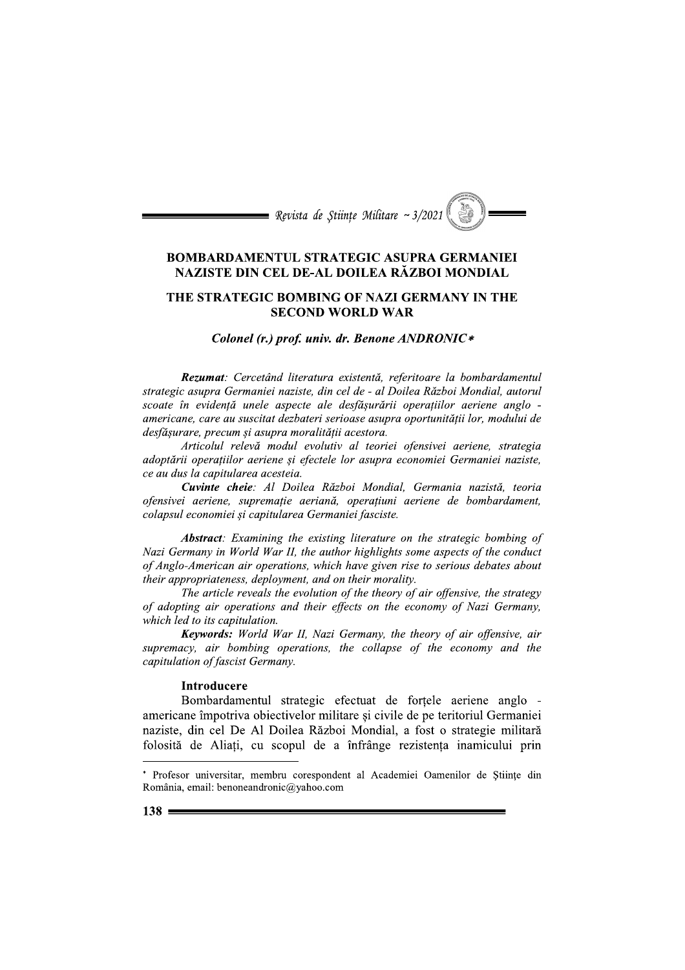

## **BOMBARDAMENTUL STRATEGIC ASUPRA GERMANIEI** NAZISTE DIN CEL DE-AL DOILEA RĂZBOI MONDIAL

## THE STRATEGIC BOMBING OF NAZI GERMANY IN THE **SECOND WORLD WAR**

#### Colonel (r.) prof. univ. dr. Benone ANDRONIC\*

Rezumat: Cercetând literatura existentă, referitoare la bombardamentul strategic asupra Germaniei naziste, din cel de - al Doilea Război Mondial, autorul scoate în evidență unele aspecte ale desfășurării operațiilor aeriene anglo americane, care au suscitat dezbateri serioase asupra oportunității lor, modului de desfășurare, precum și asupra moralității acestora.

Articolul relevă modul evolutiv al teoriei ofensivei aeriene, strategia adoptării operațiilor aeriene și efectele lor asupra economiei Germaniei naziste, ce au dus la capitularea acesteia.

Cuvinte cheie: Al Doilea Război Mondial, Germania nazistă, teoria ofensivei aeriene, suprematie aeriană, operatiuni aeriene de bombardament, colapsul economiei și capitularea Germaniei fasciste.

**Abstract:** Examining the existing literature on the strategic bombing of Nazi Germany in World War II, the author highlights some aspects of the conduct of Anglo-American air operations, which have given rise to serious debates about their appropriateness, deployment, and on their morality.

The article reveals the evolution of the theory of air offensive, the strategy of adopting air operations and their effects on the economy of Nazi Germany, which led to its capitulation.

**Keywords:** World War II, Nazi Germany, the theory of air offensive, air supremacy, air bombing operations, the collapse of the economy and the capitulation of fascist Germany.

### **Introducere**

Bombardamentul strategic efectuat de fortele aeriene anglo americane împotriva obiectivelor militare și civile de pe teritoriul Germaniei naziste, din cel De Al Doilea Război Mondial, a fost o strategie militară folosită de Aliați, cu scopul de a înfrânge rezistența inamicului prin

<sup>\*</sup> Profesor universitar, membru corespondent al Academiei Oamenilor de Științe din România, email: benoneandronic@yahoo.com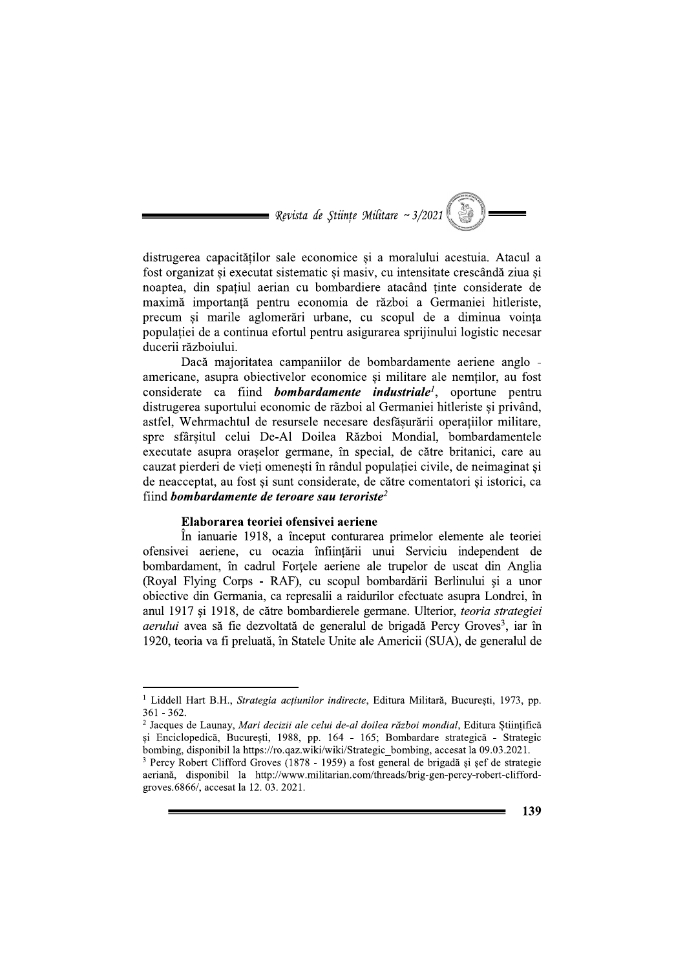

distrugerea capacităților sale economice și a moralului acestuia. Atacul a fost organizat si executat sistematic si masiv, cu intensitate crescândă ziua si noaptea, din spatiul aerian cu bombardiere atacând tinte considerate de maximă importanță pentru economia de război a Germaniei hitleriste, precum și marile aglomerări urbane, cu scopul de a diminua voința populației de a continua efortul pentru asigurarea sprijinului logistic necesar ducerii războiului.

Daçã maioritatea campaniilor de bombardamente aeriene anglo americane, asupra objectivelor economice și militare ale nemților, au fost considerate ca fiind *bombardamente industriale<sup>1</sup>*, oportune pentru distrugerea suportului economic de război al Germaniei hitleriste si privând, astfel, Wehrmachtul de resursele necesare desfășurării operațiilor militare, spre sfârsitul celui De-Al Doilea Război Mondial, bombardamentele executate asupra orașelor germane, în special, de către britanici, care au cauzat pierderi de vieți omenești în rândul populației civile, de neimaginat și de neacceptat, au fost si sunt considerate, de către comentatori si istorici, ca fiind bombardamente de teroare sau teroriste<sup>2</sup>

## Elaborarea teoriei ofensivei aeriene

În ianuarie 1918, a început conturarea primelor elemente ale teoriei ofensivei aeriene, cu ocazia înfiintării unui Serviciu independent de bombardament, în cadrul Fortele aeriene ale trupelor de uscat din Anglia (Royal Flying Corps - RAF), cu scopul bombardării Berlinului și a unor obiective din Germania, ca represalii a raidurilor efectuate asupra Londrei, în anul 1917 și 1918, de către bombardierele germane. Ulterior, *teoria strategiei aerului* avea să fie dezvoltată de generalul de brigadă Percy Groves<sup>3</sup>, iar în 1920, teoria va fi preluată, în Statele Unite ale Americii (SUA), de generalul de

<sup>&</sup>lt;sup>1</sup> Liddell Hart B.H., Strategia acțiunilor indirecte, Editura Militară, București, 1973, pp.  $361 - 362.$ 

<sup>&</sup>lt;sup>2</sup> Jacques de Launay, Mari decizii ale celui de-al doilea război mondial, Editura Științifică și Enciclopedică, București, 1988, pp. 164 - 165; Bombardare strategică - Strategic bombing, disponibil la https://ro.qaz.wiki/wiki/Strategic bombing, accesat la 09.03.2021.

<sup>&</sup>lt;sup>3</sup> Percy Robert Clifford Groves (1878 - 1959) a fost general de brigadă și șef de strategie aeriană, disponibil la http://www.militarian.com/threads/brig-gen-percy-robert-cliffordgroves.6866/, accesat la 12.03.2021.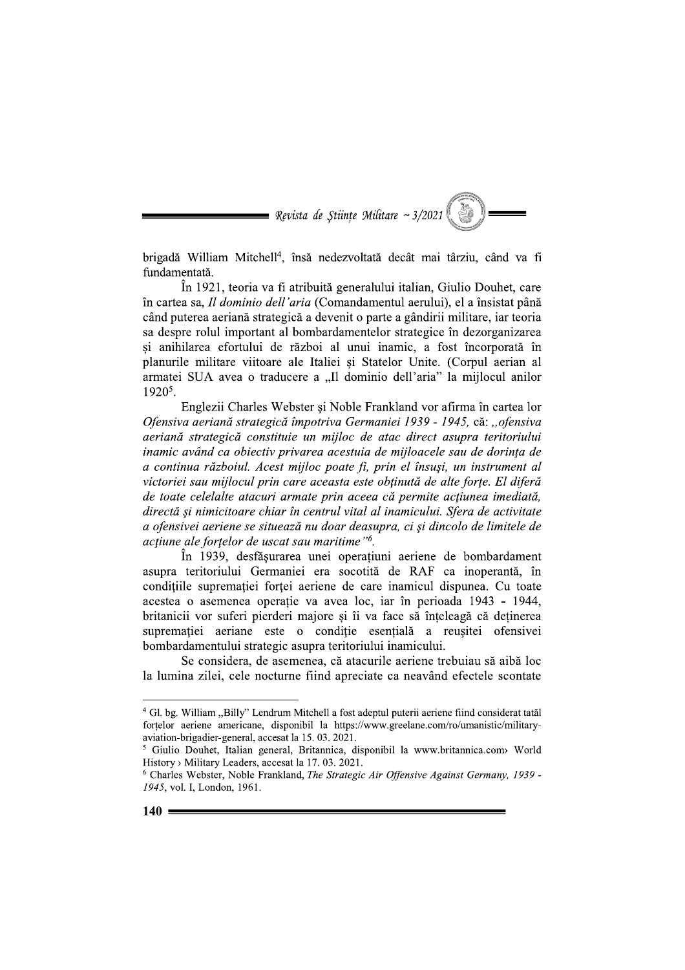

brigadă William Mitchell<sup>4</sup>, însă nedezvoltată decât mai târziu, când va fi fundamentată.

În 1921, teoria va fi atribuită generalului italian, Giulio Douhet, care în cartea sa, *Il dominio dell'aria* (Comandamentul aerului), el a însistat până Revista de Științe Militare ~3/2021 (<br>
Serbitate ~3/2021 (<br>
Serbitate ~3/2021 (<br>
Serbitate ~3/2021 (<br>
In 1921, teoria va fi atribuită generalului italian, Giulio Douhet, care<br>
în cartea sa, *Il dominio dell'aria* (Comanda cand puterea aeríana strategica a devenit o parte a gandirii militare, iar teoria sa despre rolul important al bombardamentelor strategice în dezorganizarea și anihilarea efortului de război al unui inamic, a fost incorporată în planurile militare viitoare ale Italiei și Statelor Unite. (Corpul aerian al armatei SUA avea o traducere a "Il dominio dell'aria" la mijlocul anilor 1920<sup>5</sup>.

Englezii Charles Webster și Noble Frankland vor afirma în cartea lor Ofensiva aeriană strategică împotriva Germaniei 1939 - 1945, că: "ofensiva<br>aeriană strategică constituie un mijloc de atac direct asupra teritoriului eând puterea aeriană strategică a devenito parte a gândrii militare, iar teoria<br>
sa despre rolul important al bombardamentelor strategice în dezorganizarea<br>
și aminilarea efortului de război al unui imamic, a fost încorpo

În 1939, desfăsurarea unei operatiuni aeriene de bombardament asupra teritoriului Germaniei era socotità de RAF ca inoperantà, în condițiile supremației forței aeriene de care inamicul dispunea. Cu toate acestea o asemenea operație va avea loc, iar în perioada 1943 - 1944, britanicii vor suferi pierderi majore și îi va face sa ințeleaga ca deținerea supremației aeriane este o condiție esențiala a reușitei ofensivei bombardamentului strategic asupra teritoriului inamicului.

Se considera, de asemenea, ca atacurile aeriene trebuíau sa aíba loc la lumina zilei, cele nocturne fiind apreciate ca neavând efectele scontate

a - 4 Gl. bg. William "Billy" Lendrum Mitchell a fost adeptul puterii aeriene fiind considerat tatăl fortelor aeriene americane, disponibil la https://www.greelane.com/ro/umanistic/military-aviation-brigadier-general, accesat la 15.03.2021.

<sup>&</sup>lt;sup>5</sup> Giulio Douhet, Italian general, Britannica, disponibil la www.britannica.com> World History > Military Leaders, accesat la 17.03. 2021.

 $6$  Charles Webster, Noble Frankland, The Strategic Air Offensive Against Germany, 1939 -1945, vol. I, London, 1961.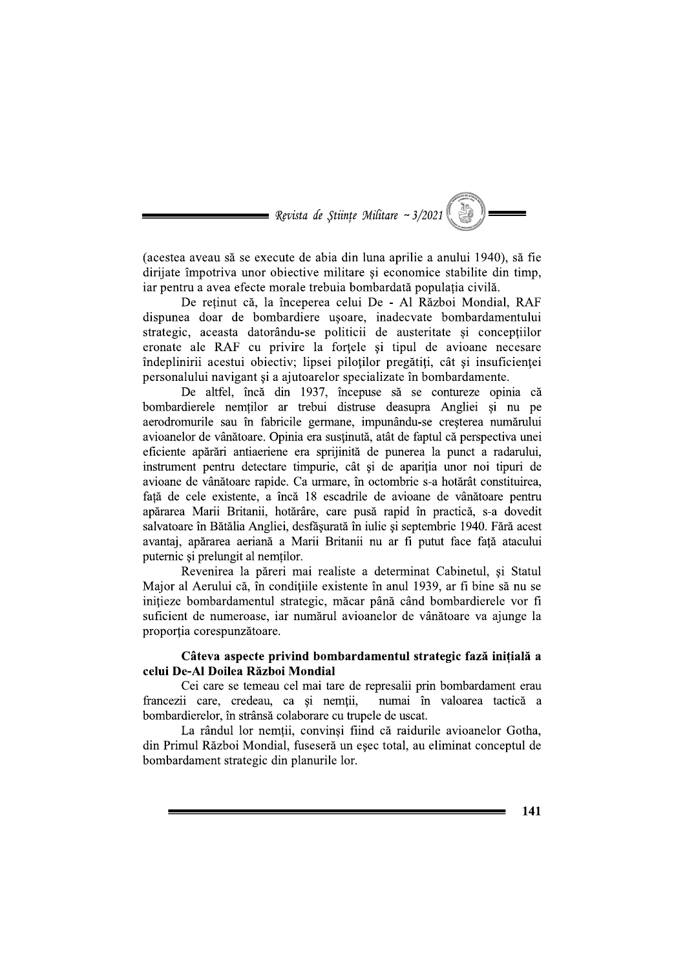

(acestea aveau să se execute de abia din luna aprilie a anului 1940), să fie dirijate împotriva unor objective militare și economice stabilite din timp, iar pentru a avea efecte morale trebuia bombardată populația civilă.

De retinut că, la începerea celui De - Al Război Mondial, RAF dispunea doar de bombardiere usoare, inadecvate bombardamentului strategic, aceasta datorându-se politicii de austeritate și concepțiilor eronate ale RAF cu privire la fortele și tipul de avioane necesare îndeplinirii acestui obiectiv; lipsei piloților pregătiți, cât și insuficienței personalului navigant și a ajutoarelor specializate în bombardamente.

De altfel, încă din 1937, începuse să se contureze opinia că bombardierele nemtilor ar trebui distruse deasupra Angliei si nu pe aerodromurile sau în fabricile germane, impunându-se creșterea numărului avioanelor de vânătoare. Opinia era susținută, atât de faptul că perspectiva unei eficiente apărări antiaeriene era sprijinită de punerea la punct a radarului, instrument pentru detectare timpurie, cât și de apariția unor noi tipuri de avioane de vânătoare rapide. Ca urmare, în octombrie s-a hotărât constituirea, față de cele existente, a încă 18 escadrile de avioane de vânătoare pentru apărarea Marii Britanii, hotărâre, care pusă rapid în practică, s-a dovedit salvatoare în Bătălia Angliei, desfăsurată în iulie și septembrie 1940. Fără acest avantaj, apărarea aeriană a Marii Britanii nu ar fi putut face față atacului puternic si prelungit al nemtilor.

Revenirea la păreri mai realiste a determinat Cabinetul, și Statul Major al Aerului că, în condițiile existente în anul 1939, ar fi bine să nu se inițieze bombardamentul strategic, măcar până când bombardierele vor fi suficient de numeroase, iar numărul avioanelor de vânătoare va ajunge la proporția corespunzătoare.

#### Câteva aspecte privind bombardamentul strategic fază initială a celui De-Al Doilea Război Mondial

Cei care se temeau cel mai tare de represalii prin bombardament erau francezii care, credeau, ca si nemții, numai în valoarea tactică a bombardierelor, în strânsă colaborare cu trupele de uscat.

La rândul lor nemtii, convinsi fiind că raidurile avioanelor Gotha, din Primul Război Mondial, fuseseră un esec total, au eliminat conceptul de bombardament strategic din planurile lor.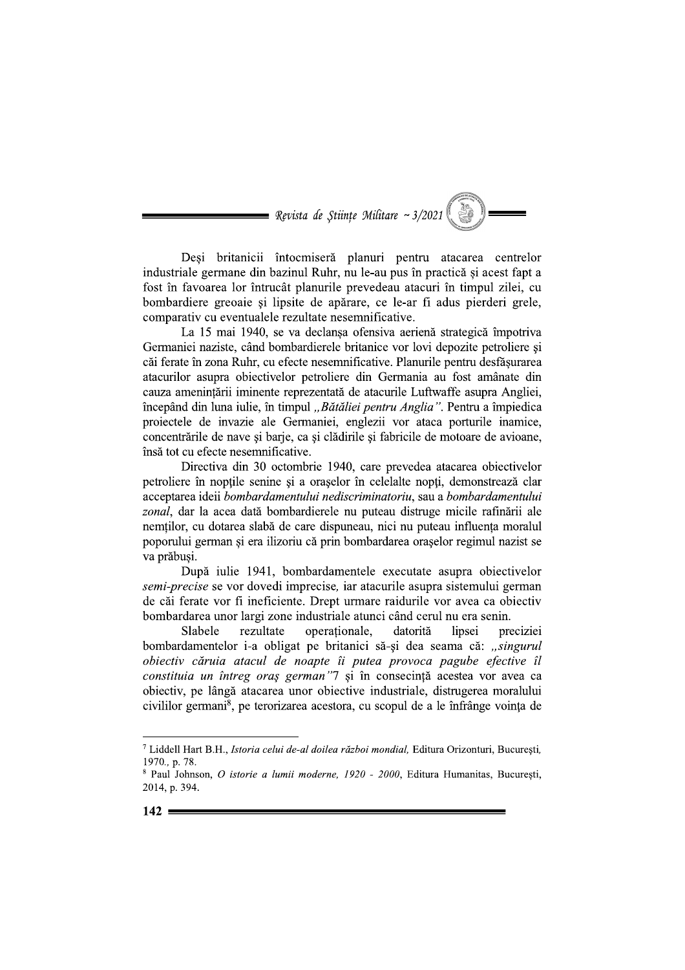= Revista de Stiințe Militare ~  $3/2021$ 

Deși britanicii întocmiseră planuri pentru atacarea centrelor industriale germane din bazinul Ruhr, nu le-au pus în practică și acest fapt a fost în favoarea lor întrucât planurile prevedeau atacuri în timpul zilei, cu bombardiere greoaie și lipsite de apărare, ce le-ar fi adus pierderi grele, comparativ cu eventualele rezultate nesemnificative.

La 15 mai 1940, se va declansa ofensiva aerienă strategică împotriva Germaniei naziste, când bombardierele britanice vor lovi depozite petroliere și căi ferate în zona Ruhr, cu efecte nesemnificative. Planurile pentru desfăsurarea atacurilor asupra obiectivelor petroliere din Germania au fost amânate din cauza amenințării iminente reprezentată de atacurile Luftwaffe asupra Angliei, începând din luna iulie, în timpul "Bătăliei pentru Anglia". Pentru a împiedica proiectele de invazie ale Germaniei, englezii vor ataca porturile inamice, concentrările de nave si barje, ca si clădirile si fabricile de motoare de avioane, însă tot cu efecte nesemnificative.

Directiva din 30 octombrie 1940, care prevedea atacarea obiectivelor petroliere în noptile senine și a orașelor în celelalte nopti, demonstrează clar acceptarea ideii bombardamentului nediscriminatoriu, sau a bombardamentului zonal, dar la acea dată bombardierele nu puteau distruge micile rafinării ale nemtilor, cu dotarea slabă de care dispuneau, nici nu puteau influenta moralul poporului german și era ilizoriu că prin bombardarea orașelor regimul nazist se va prăbusi.

După iulie 1941, bombardamentele executate asupra obiectivelor semi-precise se vor dovedi imprecise, iar atacurile asupra sistemului german de căi ferate vor fi ineficiente. Drept urmare raidurile vor avea ca obiectiv bombardarea unor largi zone industriale atunci când cerul nu era senin.

Slabele preciziei rezultate operationale. datorită linsei bombardamentelor i-a obligat pe britanici să-și dea seama că: "singurul obiectiv căruia atacul de noapte îi putea provoca pagube efective îl constituia un întreg oraș german"7 și în consecință acestea vor avea ca obiectiv, pe lângă atacarea unor obiective industriale, distrugerea moralului civililor germani<sup>8</sup>, pe terorizarea acestora, cu scopul de a le înfrânge voința de

<sup>7</sup> Liddell Hart B.H., Istoria celui de-al doilea război mondial, Editura Orizonturi, București, 1970., p. 78.

<sup>&</sup>lt;sup>8</sup> Paul Johnson, O istorie a lumii moderne, 1920 - 2000, Editura Humanitas, București, 2014, p. 394.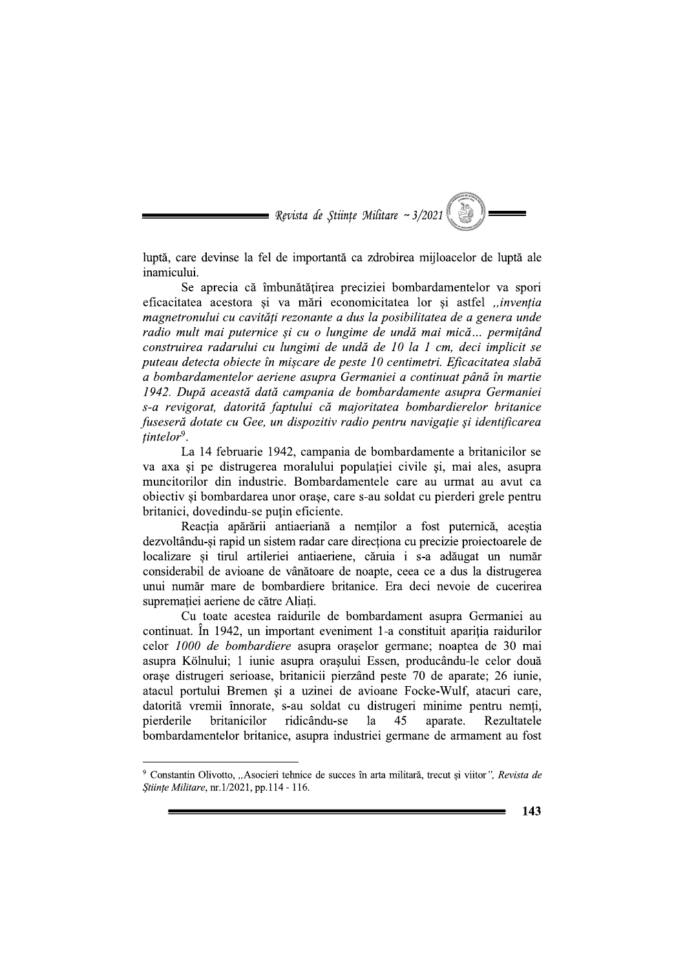$\blacksquare$  Revista de Stiințe Militare ~ 3/2021

luptă, care devinse la fel de importantă ca zdrobirea mijloacelor de luptă ale inamicului.

Se aprecia că îmbunătătirea preciziei bombardamentelor va spori eficacitatea acestora și va mări economicitatea lor și astfel "invenția magnetronului cu cavităti rezonante a dus la posibilitatea de a genera unde radio mult mai puternice și cu o lungime de undă mai mică... permițând construirea radarului cu lungimi de undă de 10 la 1 cm, deci implicit se puteau detecta obiecte în miscare de peste 10 centimetri. Eficacitatea slabă a bombardamentelor aeriene asupra Germaniei a continuat până în martie 1942. După această dată campania de bombardamente asupra Germaniei s-a revigorat, datorită faptului că majoritatea bombardierelor britanice fuseseră dotate cu Gee, un dispozitiv radio pentru navigație și identificarea  $tintelor<sup>9</sup>$ .

La 14 februarie 1942, campania de bombardamente a britanicilor se va axa și pe distrugerea moralului populației civile și, mai ales, asupra muncitorilor din industrie. Bombardamentele care au urmat au avut ca obiectiv și bombardarea unor orașe, care s-au soldat cu pierderi grele pentru britanici, dovedindu-se putin eficiente.

Reactia apărării antiaeriană a nemtilor a fost puternică, acestia dezvoltându-și rapid un sistem radar care direcționa cu precizie proiectoarele de localizare si tirul artileriei antiaeriene, căruia i s-a adăugat un număr considerabil de avioane de vânătoare de noapte, ceea ce a dus la distrugerea unui număr mare de bombardiere britanice. Era deci nevoie de cucerirea suprematiei aeriene de către Aliati.

Cu toate acestea raidurile de bombardament asupra Germaniei au continuat. În 1942, un important eveniment 1-a constituit aparitia raidurilor celor 1000 de bombardiere asupra orașelor germane; noaptea de 30 mai asupra Kölnului; 1 iunie asupra orașului Essen, producându-le celor două orașe distrugeri serioase, britanicii pierzând peste 70 de aparate; 26 iunie, atacul portului Bremen și a uzinei de avioane Focke-Wulf, atacuri care, datorită vremii înnorate, s-au soldat cu distrugeri minime pentru nemti, pierderile britanicilor ridicându-se la 45 aparate. Rezultatele bombardamentelor britanice, asupra industriei germane de armament au fost

<sup>&</sup>lt;sup>9</sup> Constantin Olivotto, "Asocieri tehnice de succes în arta militară, trecut și viitor", Revista de Stiințe Militare, nr.1/2021, pp.114 - 116.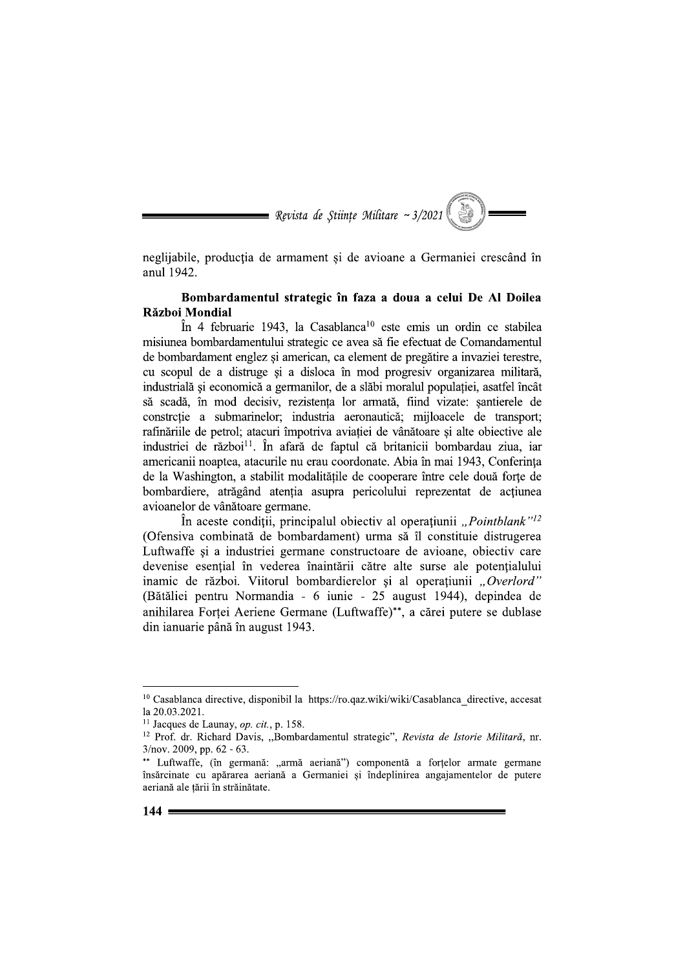

neglijabile, producția de armament și de avioane a Germaniei crescând în anul 1942.

## Bombardamentul strategic în faza a doua a celui De Al Doilea Război Mondial

În 4 februarie 1943, la Casablanca<sup>10</sup> este emis un ordin ce stabilea misiunea bombardamentului strategic ce avea să fie efectuat de Comandamentul de bombardament englez și american, ca element de pregătire a invaziei terestre, cu scopul de a distruge și a disloca în mod progresiv organizarea militară, industrială și economică a germanilor, de a slăbi moralul populației, asatfel încât să scadă, în mod decisiv, rezistenta lor armată, fiind vizate: santierele de constrctie a submarinelor; industria aeronautică; mijloacele de transport; rafinăriile de petrol; atacuri împotriva aviației de vânătoare și alte obiective ale industriei de război<sup>11</sup>. În afară de faptul că britanicii bombardau ziua, iar americanii noaptea, atacurile nu erau coordonate. Abia în mai 1943, Conferinta de la Washington, a stabilit modalitățile de cooperare între cele două forțe de bombardiere, atrăgând atentia asupra pericolului reprezentat de acțiunea avioanelor de vânătoare germane.

In aceste conditii, principalul objectiv al operatiunii "*Pointblank*"<sup>12</sup> (Ofensiva combinată de bombardament) urma să îl constituie distrugerea Luftwaffe si a industriei germane constructoare de avioane, obiectiv care devenise esential în vederea înaintării către alte surse ale potentialului inamic de război. Viitorul bombardierelor și al operațiunii "Overlord" (Bătăliei pentru Normandia - 6 iunie - 25 august 1944), depindea de anihilarea Fortei Aeriene Germane (Luftwaffe)\*\*, a cărei putere se dublase din ianuarie până în august 1943.

<sup>&</sup>lt;sup>10</sup> Casablanca directive, disponibil la https://ro.qaz.wiki/wiki/Casablanca directive, accesat la 20.03.2021.

<sup>&</sup>lt;sup>11</sup> Jacques de Launay, *op. cit.*, p. 158.

<sup>&</sup>lt;sup>12</sup> Prof. dr. Richard Davis, "Bombardamentul strategic", Revista de Istorie Militară, nr.  $3/nov. 2009$ , pp. 62 - 63.

<sup>\*\*</sup> Luftwaffe, (în germană: "armă aeriană") componentă a forțelor armate germane însărcinate cu apărarea aeriană a Germaniei și îndeplinirea angajamentelor de putere aeriană ale țării în străinătate.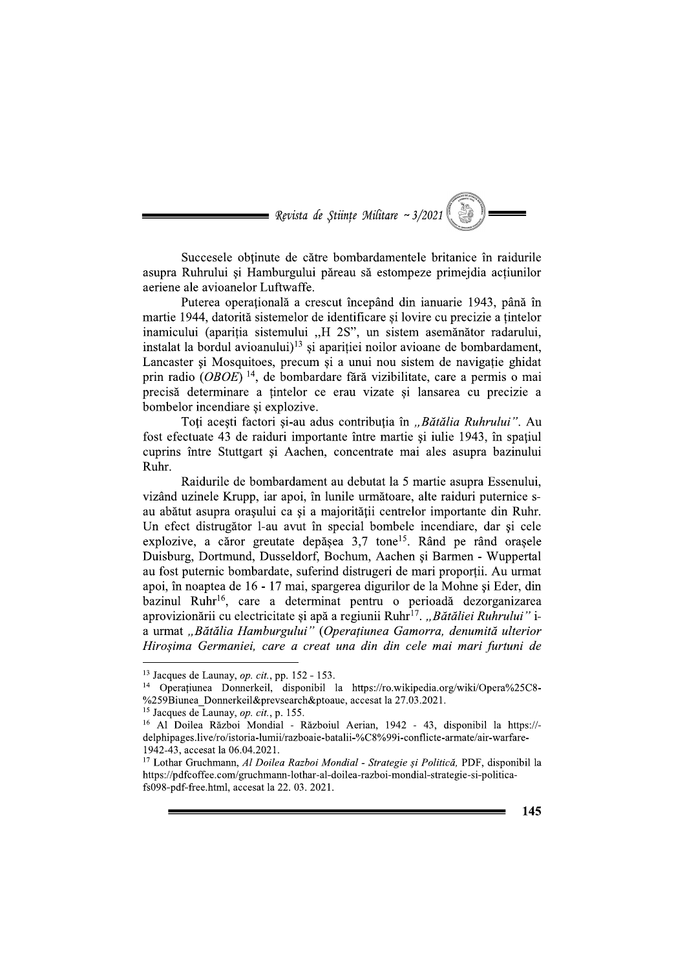

Succesele obtinute de către bombardamentele britanice în raidurile asupra Ruhrului și Hamburgului păreau să estompeze primeidia actiunilor aeriene ale avioanelor Luftwaffe.

Puterea operațională a crescut începând din ianuarie 1943, până în martie 1944, datorită sistemelor de identificare si lovire cu precizie a tintelor inamicului (apariția sistemului "H 2S", un sistem asemănător radarului, instalat la bordul avioanului)<sup>13</sup> și apariției noilor avioane de bombardament, Lancaster si Mosquitoes, precum si a unui nou sistem de navigatie ghidat prin radio  $(OBOE)^{14}$ , de bombardare fără vizibilitate, care a permis o mai precisă determinare a țintelor ce erau vizate și lansarea cu precizie a bombelor incendiare si explozive.

Toți acești factori și-au adus contribuția în "Bătălia Ruhrului". Au fost efectuate 43 de raiduri importante între martie și iulie 1943, în spațiul cuprins între Stuttgart și Aachen, concentrate mai ales asupra bazinului Ruhr.

Raidurile de bombardament au debutat la 5 martie asupra Essenului. vizând uzinele Krupp, iar apoi, în lunile următoare, alte raiduri puternice sau abătut asupra orașului ca și a majorității centrelor importante din Ruhr. Un efect distrugător l-au avut în special bombele incendiare, dar si cele explozive, a căror greutate depășea 3,7 tone<sup>15</sup>. Rând pe rând orașele Duisburg, Dortmund, Dusseldorf, Bochum, Aachen si Barmen - Wuppertal au fost puternic bombardate, suferind distrugeri de mari proporții. Au urmat apoi, în noaptea de 16 - 17 mai, spargerea digurilor de la Mohne și Eder, din bazinul Ruhr<sup>16</sup>, care a determinat pentru o perioadă dezorganizarea aprovizionării cu electricitate și apă a regiunii Ruhr<sup>17</sup>. "Bătăliei Ruhrului" ia urmat "Bătălia Hamburgului" (Operațiunea Gamorra, denumită ulterior Hirosima Germaniei, care a creat una din din cele mai mari furtuni de

<sup>&</sup>lt;sup>13</sup> Jacques de Launay, *op. cit.*, pp. 152 - 153.

<sup>&</sup>lt;sup>14</sup> Operațiunea Donnerkeil, disponibil la https://ro.wikipedia.org/wiki/Opera%25C8-%259Biunea Donnerkeil&prevsearch&ptoaue, accesat la 27.03.2021.

<sup>&</sup>lt;sup>15</sup> Jacques de Launay, *op. cit.*, p. 155.

<sup>&</sup>lt;sup>16</sup> Al Doilea Război Mondial - Războiul Aerian, 1942 - 43, disponibil la https://delphipages.live/ro/istoria-lumii/razboaie-batalii-%C8%99i-conflicte-armate/air-warfare-1942-43, accesat la 06.04.2021.

<sup>&</sup>lt;sup>17</sup> Lothar Gruchmann, Al Doilea Razboi Mondial - Strategie și Politică, PDF, disponibil la https://pdfcoffee.com/gruchmann-lothar-al-doilea-razboi-mondial-strategie-si-politicafs098-pdf-free.html, accesat la 22. 03. 2021.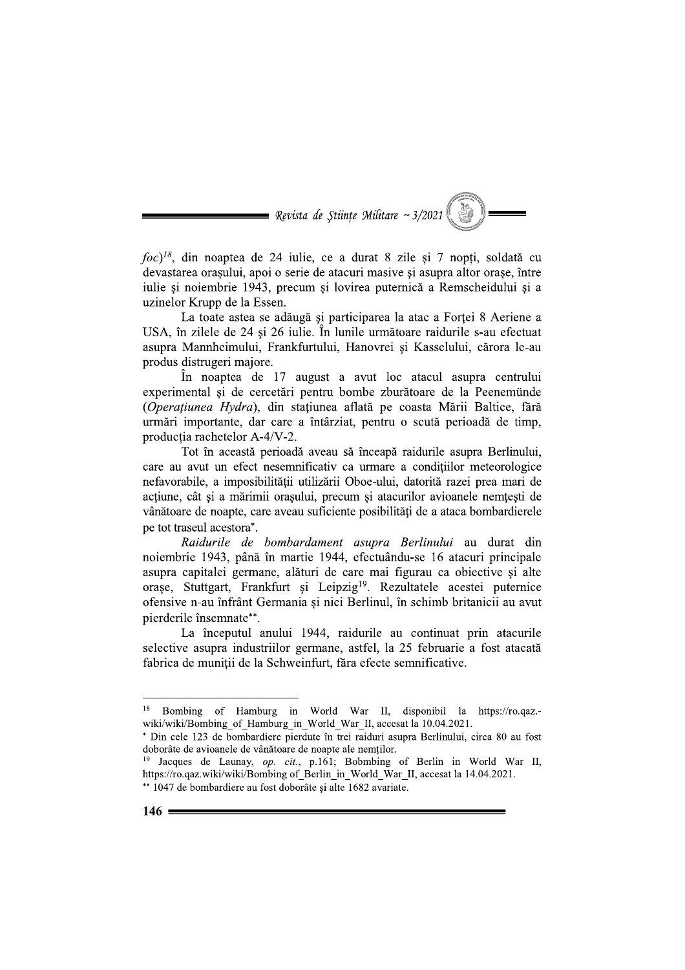

 $foc$ <sup>18</sup>, din noaptea de 24 iulie, ce a durat 8 zile și 7 nopți, soldată cu devastarea orașului, apoi o serie de atacuri masive și asupra altor orașe, între julie si noiembrie 1943, precum si lovirea puternică a Remscheidului si a uzinelor Krupp de la Essen.

La toate astea se adăugă și participarea la atac a Forței 8 Aeriene a USA, în zilele de 24 și 26 iulie. În lunile următoare raidurile s-au efectuat asupra Mannheimului, Frankfurtului, Hanovrei și Kasselului, cărora le-au produs distrugeri majore.

În noaptea de 17 august a avut loc atacul asupra centrului experimental și de cercetări pentru bombe zburătoare de la Peenemünde (Operatiunea Hydra), din stațiunea aflată pe coasta Mării Baltice, fără urmări importante, dar care a întârziat, pentru o scută perioadă de timp, productia rachetelor A-4/V-2.

Tot în această perioadă aveau să înceapă raidurile asupra Berlinului, care au avut un efect nesemnificativ ca urmare a conditiilor meteorologice nefavorabile, a imposibilității utilizării Oboe-ului, datorită razei prea mari de acțiune, cât și a mărimii orașului, precum și atacurilor avioanele nemțești de vânătoare de noapte, care aveau suficiente posibilități de a ataca bombardierele pe tot traseul acestora\*.

Raidurile de bombardament asupra Berlinului au durat din noiembrie 1943, până în martie 1944, efectuându-se 16 atacuri principale asupra capitalei germane, alături de care mai figurau ca obiective și alte orașe, Stuttgart, Frankfurt și Leipzig<sup>19</sup>. Rezultatele acestei puternice ofensive n-au înfrânt Germania și nici Berlinul, în schimb britanicii au avut pierderile însemnate\*\*.

La începutul anului 1944, raidurile au continuat prin atacurile selective asupra industriilor germane, astfel, la 25 februarie a fost atacată fabrica de munitii de la Schweinfurt, făra efecte semnificative.

<sup>18</sup> Bombing of Hamburg in World War II, disponibil la https://ro.qaz.wiki/wiki/Bombing of Hamburg in World War II, accesat la 10.04.2021.

<sup>\*</sup> Din cele 123 de bombardiere pierdute în trei raiduri asupra Berlinului, circa 80 au fost doborâte de avioanele de vânătoare de noapte ale nemților.

<sup>&</sup>lt;sup>19</sup> Jacques de Launay, op. cit., p.161; Bobmbing of Berlin in World War II, https://ro.qaz.wiki/wiki/Bombing of\_Berlin\_in\_World\_War\_II, accesat la 14.04.2021. \*\* 1047 de bombardiere au fost doborâte și alte 1682 avariate.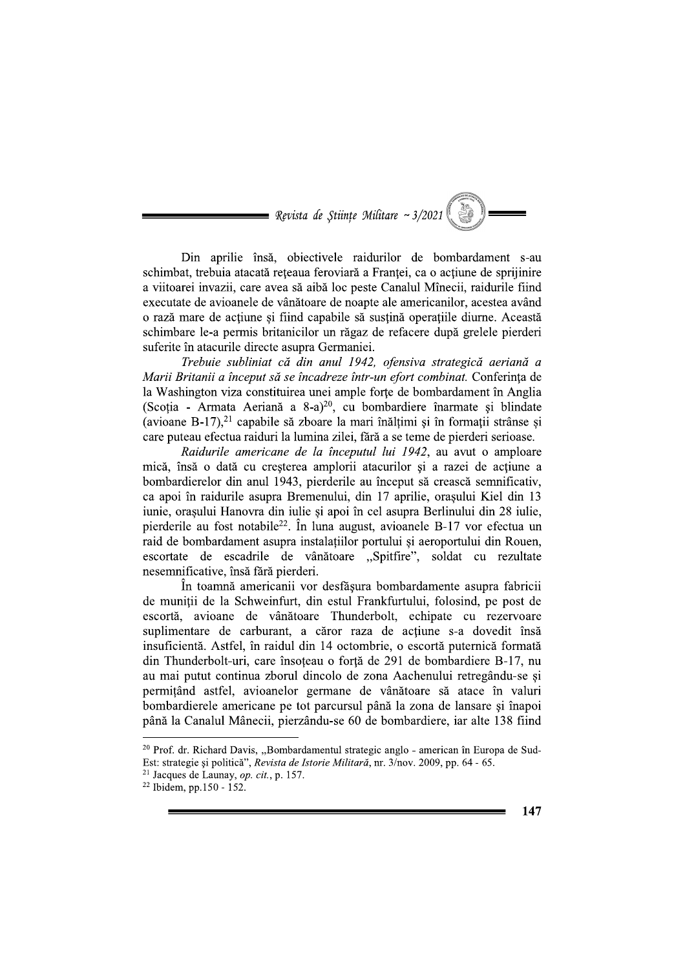$\blacksquare$  Revista de Stiințe Militare ~ 3/2021

Din aprilie însă, obiectivele raidurilor de bombardament s-au schimbat, trebuia atacată reteaua feroviară a Franței, ca o actiune de sprijinire a viitoarei invazii, care avea să aibă loc peste Canalul Mînecii, raidurile fiind executate de avioanele de vânătoare de noapte ale americanilor, acestea având o rază mare de actiune si fiind capabile să sustină operațiile diurne. Această schimbare le-a permis britanicilor un răgaz de refacere după grelele pierderi suferite în atacurile directe asupra Germaniei.

Trebuie subliniat că din anul 1942, ofensiva strategică aeriană a Marii Britanii a început să se încadreze într-un efort combinat. Conferința de la Washington viza constituirea unei ample forte de bombardament în Anglia (Scoția - Armata Aeriană a 8-a)<sup>20</sup>, cu bombardiere înarmate și blindate (avioane B-17), $^{21}$  capabile să zboare la mari înălțimi și în formații strânse și care puteau efectua raiduri la lumina zilei, fără a se teme de pierderi serioase.

Raidurile americane de la începutul lui 1942, au avut o amploare mică, însă o dată cu creșterea amplorii atacurilor și a razei de acțiune a bombardierelor din anul 1943, pierderile au început să crească semnificativ, ca apoi în raidurile asupra Bremenului, din 17 aprilie, orașului Kiel din 13 iunie, orașului Hanovra din iulie și apoi în cel asupra Berlinului din 28 iulie. pierderile au fost notabile<sup>22</sup>. În luna august, avioanele B-17 vor efectua un raid de bombardament asupra instalațiilor portului și aeroportului din Rouen, escortate de escadrile de vânătoare "Spitfire", soldat cu rezultate nesemnificative, însă fără pierderi.

În toamnă americanii vor desfășura bombardamente asupra fabricii de munitii de la Schweinfurt, din estul Frankfurtului, folosind, pe post de escortă, avioane de vânătoare Thunderbolt, echipate cu rezervoare suplimentare de carburant, a căror raza de acțiune s-a dovedit însă insuficientă. Astfel, în raidul din 14 octombrie, o escortă puternică formată din Thunderbolt-uri, care însoțeau o forță de 291 de bombardiere B-17, nu au mai putut continua zborul dincolo de zona Aachenului retregându-se și permitând astfel, avioanelor germane de vânătoare să atace în valuri bombardierele americane pe tot parcursul până la zona de lansare și înapoi până la Canalul Mânecii, pierzându-se 60 de bombardiere, iar alte 138 fiind

Est: strategie și politică", Revista de Istorie Militară, nr. 3/nov. 2009, pp. 64 - 65.

<sup>&</sup>lt;sup>20</sup> Prof. dr. Richard Davis, "Bombardamentul strategic anglo - american în Europa de Sud-

 $21$  Jacques de Launay, op. cit., p. 157.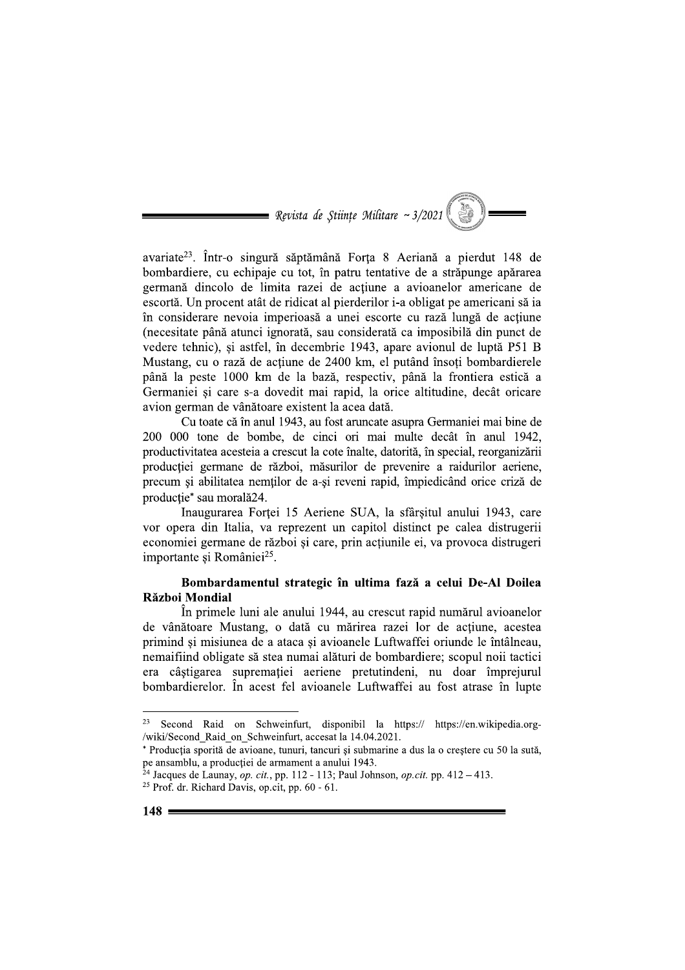= Revista de Stiințe Militare ~  $3/2021$ 

avariate<sup>23</sup>. Într-o singură săptămână Forța 8 Aeriană a pierdut 148 de bombardiere, cu echipaje cu tot, în patru tentative de a străpunge apărarea germană dincolo de limita razei de actiune a avioanelor americane de escortă. Un procent atât de ridicat al pierderilor i-a obligat pe americani să ia în considerare nevoia imperioasă a unei escorte cu rază lungă de actiune (necesitate până atunci ignorată, sau considerată ca imposibilă din punct de vedere tehnic), și astfel, în decembrie 1943, apare avionul de luptă P51 B Mustang, cu o rază de actiune de 2400 km, el putând însoti bombardierele până la peste 1000 km de la bază, respectiv, până la frontiera estică a Germaniei și care s-a dovedit mai rapid, la orice altitudine, decât oricare avion german de vânătoare existent la acea dată.

Cu toate că în anul 1943, au fost aruncate asupra Germaniei mai bine de 200 000 tone de bombe, de cinci ori mai multe decât în anul 1942, productivitatea acesteia a crescut la cote înalte, datorită, în special, reorganizării producției germane de război, măsurilor de prevenire a raidurilor aeriene, precum si abilitatea nemtilor de a-si reveni rapid, împiedicând orice criză de producție\* sau morală24.

Inaugurarea Forței 15 Aeriene SUA, la sfârșitul anului 1943, care vor opera din Italia, va reprezent un capitol distinct pe calea distrugerii economiei germane de război și care, prin acțiunile ei, va provoca distrugeri importante și României<sup>25</sup>.

# Bombardamentul strategic în ultima fază a celui De-Al Doilea Război Mondial

În primele luni ale anului 1944, au crescut rapid numărul avioanelor de vânătoare Mustang, o dată cu mărirea razei lor de actiune, acestea primind si misiunea de a ataca si avioanele Luftwaffei oriunde le întâlneau, nemaifiind obligate să stea numai alături de bombardiere; scopul noii tactici era câștigarea supremației aeriene pretutindeni, nu doar împrejurul bombardierelor. În acest fel avioanele Luftwaffei au fost atrase în lupte

<sup>23</sup> Second Raid on Schweinfurt, disponibil la https:// https://en.wikipedia.org-/wiki/Second Raid on Schweinfurt, accesat la 14.04.2021.

<sup>\*</sup> Producția sporită de avioane, tunuri, tancuri și submarine a dus la o creștere cu 50 la sută, pe ansamblu, a producției de armament a anului 1943.

 $^{24}$  Jacques de Launay, *op. cit.*, pp. 112 - 113; Paul Johnson, *op.cit.* pp. 412 – 413. <sup>25</sup> Prof. dr. Richard Davis, op.cit, pp. 60 - 61.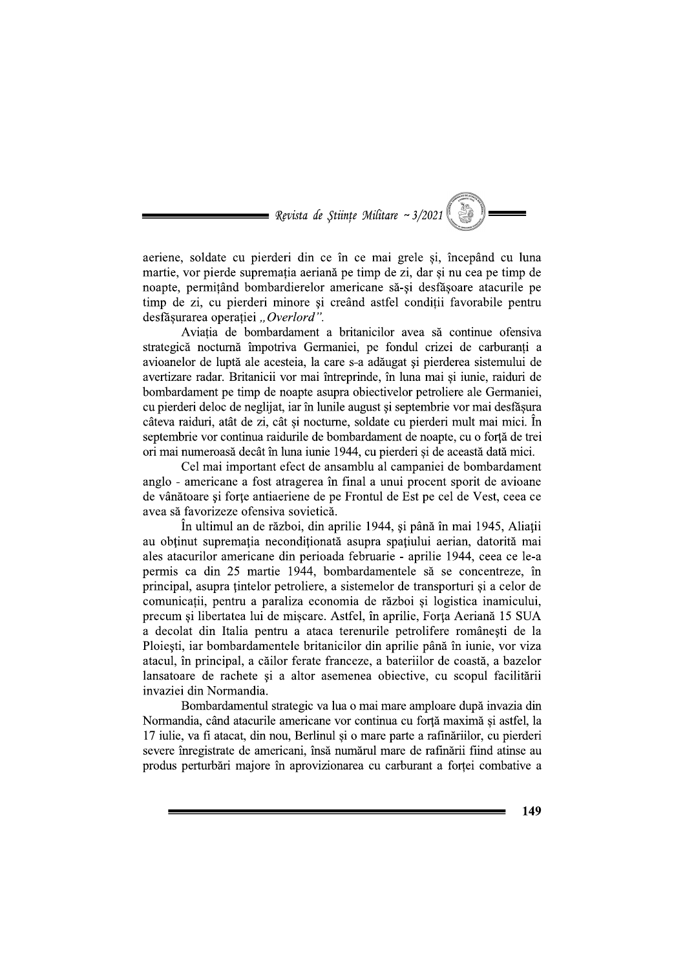= Revista de Stiințe Militare ~  $3/2021$ 

aeriene, soldate cu pierderi din ce în ce mai grele și, începând cu luna martie, vor pierde suprematia aeriană pe timp de zi, dar si nu cea pe timp de noapte, permitând bombardierelor americane să-si desfăsoare atacurile pe timp de zi, cu pierderi minore și creând astfel condiții favorabile pentru desfășurarea operației "Overlord".

Aviația de bombardament a britanicilor avea să continue ofensiva strategică nocturnă împotriva Germaniei, pe fondul crizei de carburanți a avioanelor de luptă ale acesteia, la care s-a adăugat și pierderea sistemului de avertizare radar. Britanicii vor mai întreprinde, în luna mai și iunie, raiduri de bombardament pe timp de noapte asupra objectivelor petroliere ale Germaniei, cu pierderi deloc de neglijat, iar în lunile august și septembrie vor mai desfăsura câteva raiduri, atât de zi, cât și nocturne, soldate cu pierderi mult mai mici. În septembrie vor continua raidurile de bombardament de noapte, cu o forță de trei ori mai numeroasă decât în luna iunie 1944, cu pierderi și de această dată mici.

Cel mai important efect de ansamblu al campaniei de bombardament anglo - americane a fost atragerea în final a unui procent sporit de avioane de vânătoare și forțe antiaeriene de pe Frontul de Est pe cel de Vest, ceea ce avea să favorizeze ofensiva sovietică.

În ultimul an de război, din aprilie 1944, și până în mai 1945, Aliatii au obținut supremația necondiționată asupra spațiului aerian, datorită mai ales atacurilor americane din perioada februarie - aprilie 1944, ceea ce le-a permis ca din 25 martie 1944, bombardamentele să se concentreze, în principal, asupra tintelor petroliere, a sistemelor de transporturi și a celor de comunicații, pentru a paraliza economia de război și logistica inamicului, precum si libertatea lui de miscare. Astfel, în aprilie, Forta Aeriană 15 SUA a decolat din Italia pentru a ataca terenurile petrolifere românești de la Ploiești, iar bombardamentele britanicilor din aprilie până în iunie, vor viza atacul, în principal, a căilor ferate franceze, a bateriilor de coastă, a bazelor lansatoare de rachete și a altor asemenea obiective, cu scopul facilitării invaziei din Normandia.

Bombardamentul strategic va lua o mai mare amploare după invazia din Normandia, când atacurile americane vor continua cu fortă maximă și astfel, la 17 iulie, va fi atacat, din nou, Berlinul și o mare parte a rafinăriilor, cu pierderi severe înregistrate de americani, însă numărul mare de rafinării fiind atinse au produs perturbări majore în aprovizionarea cu carburant a fortei combative a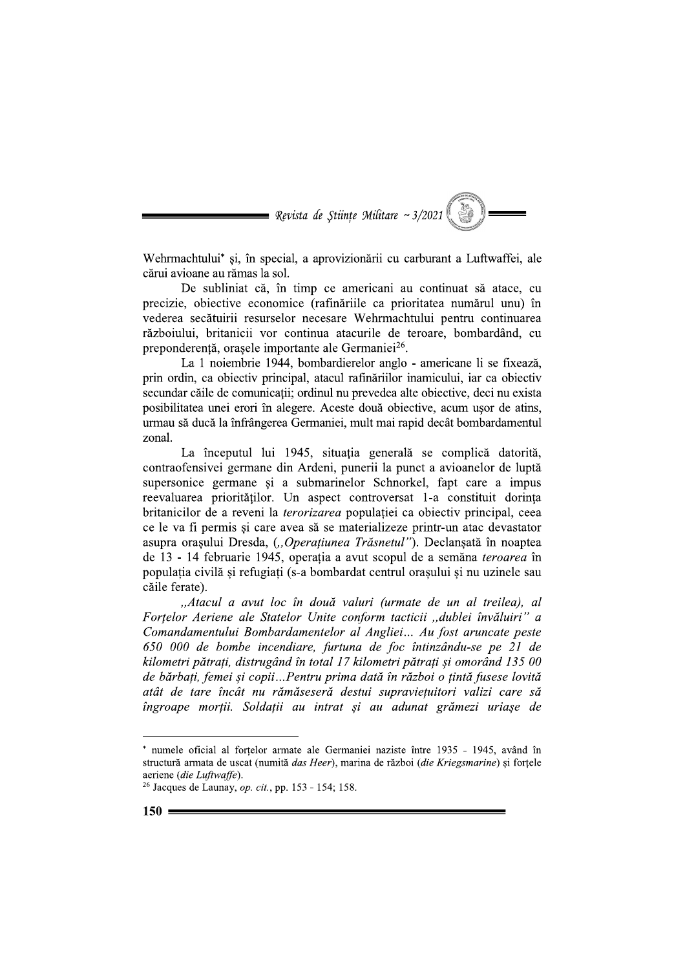

Wehrmachtului\* și, în special, a aprovizionării cu carburant a Luftwaffei, ale cărui avioane au rămas la sol.

De subliniat că, în timp ce americani au continuat să atace, cu precizie, obiective economice (rafinăriile ca prioritatea numărul unu) în vederea secătuirii resurselor necesare Wehrmachtului pentru continuarea războiului, britanicii vor continua atacurile de teroare, bombardând, cu preponderentă, orașele importante ale Germaniei<sup>26</sup>.

La 1 noiembrie 1944, bombardierelor anglo - americane li se fixează, prin ordin, ca objectiv principal, atacul rafinăriilor inamicului, iar ca objectiv secundar căile de comunicații; ordinul nu prevedea alte obiective, deci nu exista posibilitatea unei erori în alegere. Aceste două obiective, acum usor de atins, urmau să ducă la înfrângerea Germaniei, mult mai rapid decât bombardamentul zonal

La începutul lui 1945, situația generală se complică datorită, contraofensivei germane din Ardeni, punerii la punct a avioanelor de luptă supersonice germane și a submarinelor Schnorkel, fapt care a impus reevaluarea priorităților. Un aspect controversat 1-a constituit dorința britanicilor de a reveni la *terorizarea* populației ca obiectiv principal, ceea ce le va fi permis si care avea să se materializeze printr-un atac devastator asupra orașului Dresda, ("Operațiunea Trăsnetul"). Declanșată în noaptea de 13 - 14 februarie 1945, operația a avut scopul de a semăna teroarea în populația civilă și refugiați (s-a bombardat centrul orașului și nu uzinele sau căile ferate).

"Atacul a avut loc în două valuri (urmate de un al treilea), al Fortelor Aeriene ale Statelor Unite conform tacticii "dublei învăluiri" a Comandamentului Bombardamentelor al Angliei... Au fost aruncate peste 650 000 de bombe incendiare, furtuna de foc întinzându-se pe 21 de kilometri pătrați, distrugând în total 17 kilometri pătrați și omorând 135 00 de bărbați, femei și copii...Pentru prima dată în război o țintă fusese lovită atât de tare încât nu rămăseseră destui supravietuitori valizi care să îngroape morții. Soldații au intrat și au adunat grămezi uriașe de

numele oficial al forțelor armate ale Germaniei naziste între 1935 - 1945, având în structură armata de uscat (numită das Heer), marina de război (die Kriegsmarine) și forțele aeriene (die Luftwaffe).

<sup>&</sup>lt;sup>26</sup> Jacques de Launay, op. cit., pp. 153 - 154; 158.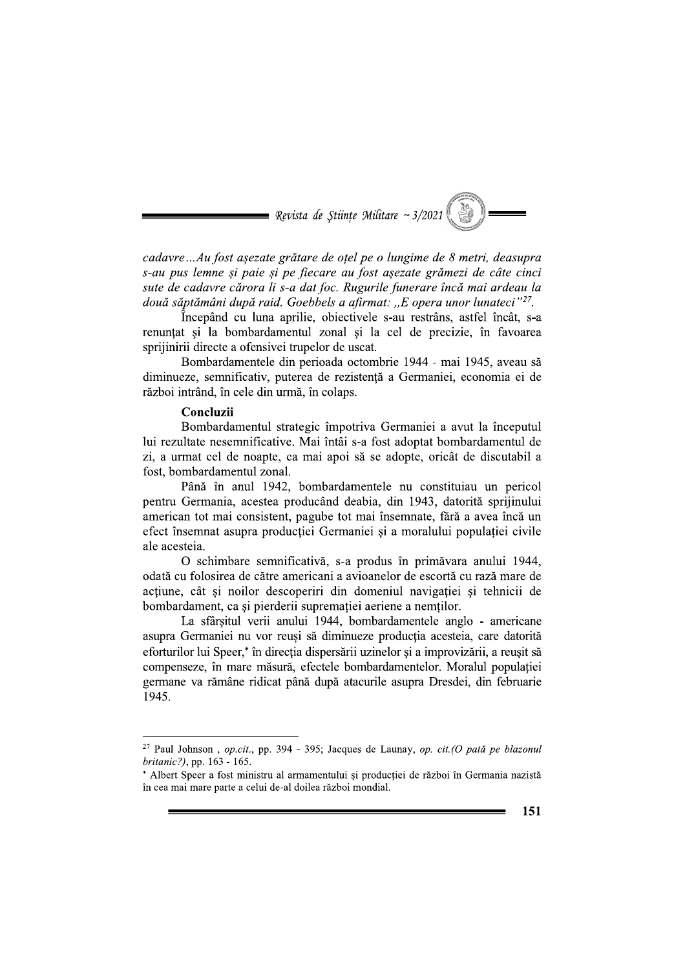

cadavre...Au fost așezate grătare de oțel pe o lungime de 8 metri, deasupra s-au pus lemne și paie și pe fiecare au fost așezate grămezi de câte cinci sute de cadavre cărora li s-a dat foc. Rugurile funerare încă mai ardeau la două săptămâni după raid. Goebbels a afirmat: "E opera unor lunateci" $^{27}$ .

Începând cu luna aprilie, obiectivele s-au restrâns, astfel încât, s-a renunțat și la bombardamentul zonal și la cel de precizie, în favoarea sprijinirii directe a ofensivei trupelor de uscat.

Bombardamentele din perioada octombrie 1944 - mai 1945, aveau să diminueze, semnificativ, puterea de rezistență a Germaniei, economia ei de război intrând, în cele din urmă, în colaps.

#### Concluzii

Bombardamentul strategic împotriva Germaniei a avut la începutul lui rezultate nesemnificative. Mai întâi s-a fost adoptat bombardamentul de zi, a urmat cel de noapte, ca mai apoi să se adopte, oricât de discutabil a fost, bombardamentul zonal.

Până în anul 1942, bombardamentele nu constituiau un pericol pentru Germania, acestea producând deabia, din 1943, datorită sprijinului american tot mai consistent, pagube tot mai însemnate, fără a avea încă un efect însemnat asupra producției Germaniei și a moralului populației civile ale acesteia.

O schimbare semnificativă, s-a produs în primăvara anului 1944, odată cu folosirea de către americani a avioanelor de escortă cu rază mare de actiune, cât si noilor descoperiri din domeniul navigatiei si tehnicii de bombardament, ca și pierderii supremației aeriene a nemților.

La sfârșitul verii anului 1944, bombardamentele anglo - americane asupra Germaniei nu vor reuși să diminueze producția acesteia, care datorită eforturilor lui Speer,<sup>\*</sup> în directia dispersării uzinelor și a improvizării, a reusit să compenseze, în mare măsură, efectele bombardamentelor. Moralul populației germane va rămâne ridicat până după atacurile asupra Dresdei, din februarie 1945.

<sup>&</sup>lt;sup>27</sup> Paul Johnson, op.cit., pp. 394 - 395; Jacques de Launay, op. cit.(O pată pe blazonul britanic?), pp. 163 - 165.

<sup>\*</sup> Albert Speer a fost ministru al armamentului și producției de război în Germania nazistă în cea mai mare parte a celui de-al doilea război mondial.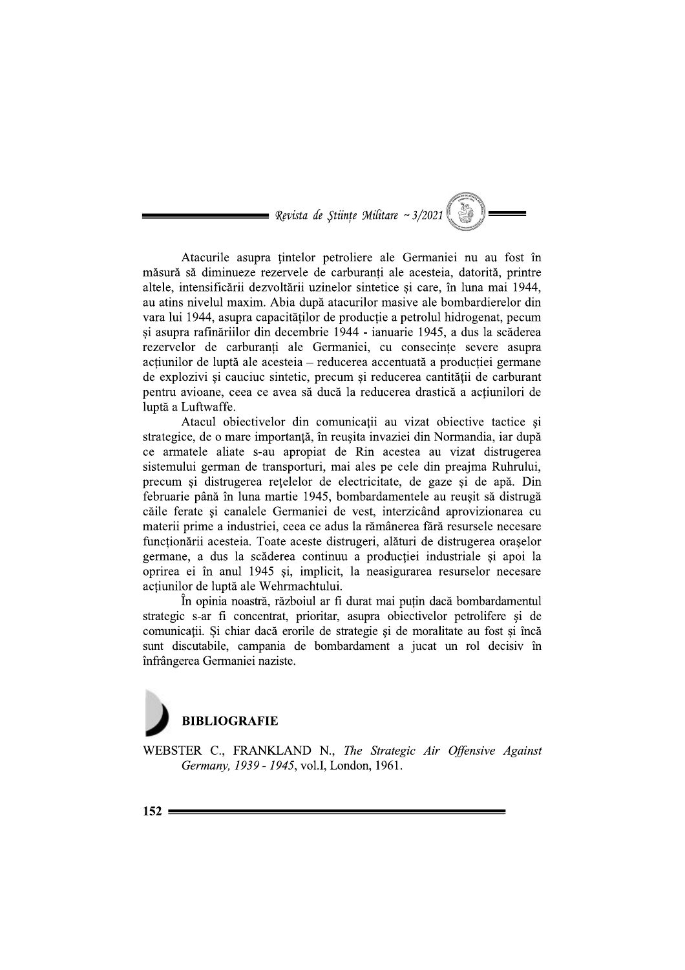$\blacksquare$  Revista de Stiințe Militare ~ 3/2021

Atacurile asupra tintelor petroliere ale Germaniei nu au fost în măsură să diminueze rezervele de carburanti ale acesteia, datorită, printre altele, intensificării dezvoltării uzinelor sintetice și care, în luna mai 1944, au atins nivelul maxim. Abia după atacurilor masive ale bombardierelor din vara lui 1944, asupra capacitătilor de productie a petrolul hidrogenat, pecum și asupra rafinăriilor din decembrie 1944 - ianuarie 1945, a dus la scăderea rezervelor de carburanți ale Germaniei, cu consecințe severe asupra actiunilor de luptă ale acesteia – reducerea accentuată a producției germane de explozivi și cauciuc sintetic, precum și reducerea cantității de carburant pentru avioane, ceea ce avea să ducă la reducerea drastică a acțiunilori de luptă a Luftwaffe.

Atacul obiectivelor din comunicații au vizat obiective tactice și strategice, de o mare importantă, în reusita invaziei din Normandia, iar după ce armatele aliate s-au apropiat de Rin acestea au vizat distrugerea sistemului german de transporturi, mai ales pe cele din preajma Ruhrului, precum si distrugerea retelelor de electricitate, de gaze si de apă. Din februarie până în luna martie 1945, bombardamentele au reușit să distrugă căile ferate și canalele Germaniei de vest, interzicând aprovizionarea cu materii prime a industriei, ceea ce adus la rămânerea fără resursele necesare funcționării acesteia. Toate aceste distrugeri, alături de distrugerea orașelor germane, a dus la scăderea continuu a producției industriale si apoi la oprirea ei în anul 1945 și, implicit, la neasigurarea resurselor necesare acțiunilor de luptă ale Wehrmachtului.

În opinia noastră, războiul ar fi durat mai putin dacă bombardamentul strategic s-ar fi concentrat, prioritar, asupra obiectivelor petrolifere si de comunicații. Și chiar dacă erorile de strategie și de moralitate au fost și încă sunt discutabile, campania de bombardament a jucat un rol decisiv în înfrângerea Germaniei naziste.



WEBSTER C., FRANKLAND N., The Strategic Air Offensive Against Germany, 1939 - 1945, vol.I, London, 1961.